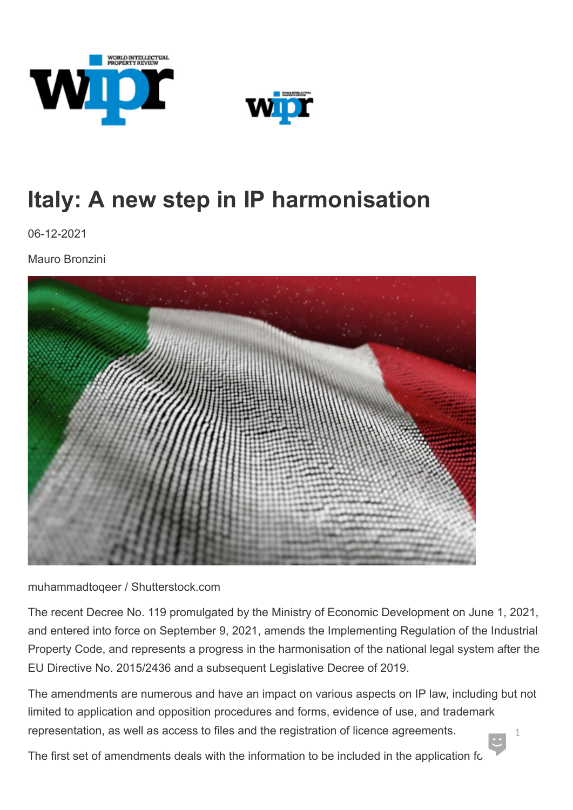



## **Italy: A new step in IP harmonisation**

06-12-2021

Mauro Bronzini



muhammadtoqeer / Shutterstock.com

The recent Decree No. 119 promulgated by the Ministry of Economic Development on June 1, 2021, and entered into force on September 9, 2021, amends the Implementing Regulation of the Industrial Property Code, and represents a progress in the harmonisation of the national legal system after the EU Directive No. 2015/2436 and a subsequent Legislative Decree of 2019.

The amendments are numerous and have an impact on various aspects on IP law, including but not limited to application and opposition procedures and forms, evidence of use, and trademark representation, as well as access to files and the registration of licence agreements. 1

The first set of amendments deals with the information to be included in the application fo.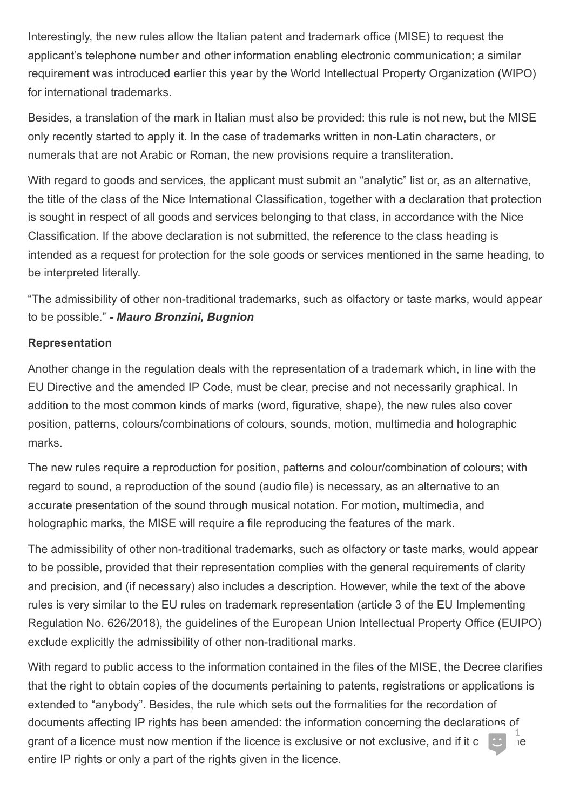Interestingly, the new rules allow the Italian patent and trademark office (MISE) to request the applicant's telephone number and other information enabling electronic communication; a similar requirement was introduced earlier this year by the World Intellectual Property Organization (WIPO) for international trademarks.

Besides, a translation of the mark in Italian must also be provided: this rule is not new, but the MISE only recently started to apply it. In the case of trademarks written in non-Latin characters, or numerals that are not Arabic or Roman, the new provisions require a transliteration.

With regard to goods and services, the applicant must submit an "analytic" list or, as an alternative, the title of the class of the Nice International Classification, together with a declaration that protection is sought in respect of all goods and services belonging to that class, in accordance with the Nice Classification. If the above declaration is not submitted, the reference to the class heading is intended as a request for protection for the sole goods or services mentioned in the same heading, to be interpreted literally.

"The admissibility of other non-traditional trademarks, such as olfactory or taste marks, would appear to be possible." *- Mauro Bronzini, Bugnion*

## **Representation**

Another change in the regulation deals with the representation of a trademark which, in line with the EU Directive and the amended IP Code, must be clear, precise and not necessarily graphical. In addition to the most common kinds of marks (word, figurative, shape), the new rules also cover position, patterns, colours/combinations of colours, sounds, motion, multimedia and holographic marks.

The new rules require a reproduction for position, patterns and colour/combination of colours; with regard to sound, a reproduction of the sound (audio file) is necessary, as an alternative to an accurate presentation of the sound through musical notation. For motion, multimedia, and holographic marks, the MISE will require a file reproducing the features of the mark.

The admissibility of other non-traditional trademarks, such as olfactory or taste marks, would appear to be possible, provided that their representation complies with the general requirements of clarity and precision, and (if necessary) also includes a description. However, while the text of the above rules is very similar to the EU rules on trademark representation (article 3 of the EU Implementing Regulation No. 626/2018), the guidelines of the European Union Intellectual Property Office (EUIPO) exclude explicitly the admissibility of other non-traditional marks.

With regard to public access to the information contained in the files of the MISE, the Decree clarifies that the right to obtain copies of the documents pertaining to patents, registrations or applications is extended to "anybody". Besides, the rule which sets out the formalities for the recordation of documents affecting IP rights has been amended: the information concerning the declarations of grant of a licence must now mention if the licence is exclusive or not exclusive, and if it covers the licentie<br>entire IP rights or only a part of the rights given in the licence. 1